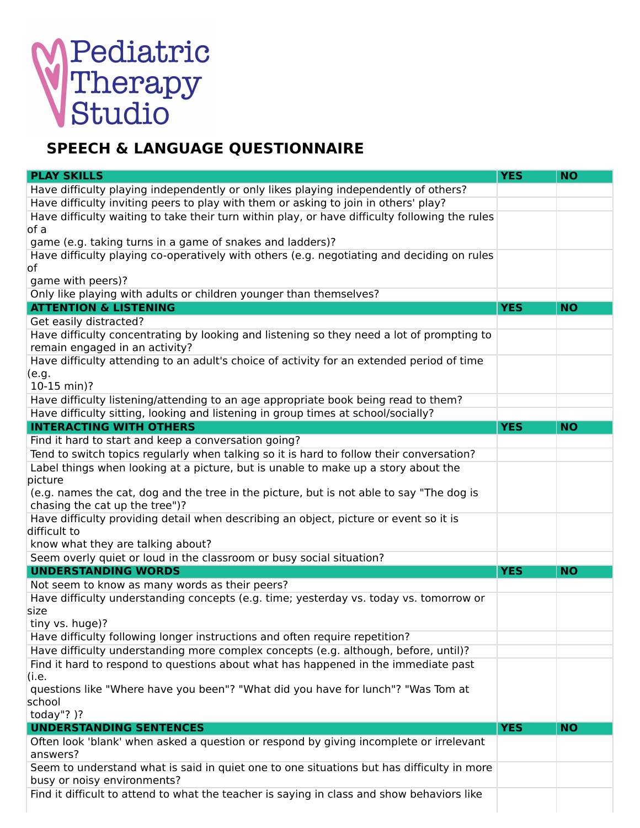## Pediatric<br>Therapy<br>Studio

## **SPEECH & LANGUAGE QUESTIONNAIRE**

| <b>PLAY SKILLS</b>                                                                                                                                                 | <b>YES</b> | <b>NO</b> |
|--------------------------------------------------------------------------------------------------------------------------------------------------------------------|------------|-----------|
| Have difficulty playing independently or only likes playing independently of others?                                                                               |            |           |
| Have difficulty inviting peers to play with them or asking to join in others' play?                                                                                |            |           |
| Have difficulty waiting to take their turn within play, or have difficulty following the rules<br>of a                                                             |            |           |
| game (e.g. taking turns in a game of snakes and ladders)?                                                                                                          |            |           |
| Have difficulty playing co-operatively with others (e.g. negotiating and deciding on rules<br>of                                                                   |            |           |
| game with peers)?                                                                                                                                                  |            |           |
| Only like playing with adults or children younger than themselves?                                                                                                 |            |           |
| <b>ATTENTION &amp; LISTENING</b>                                                                                                                                   | <b>YES</b> | <b>NO</b> |
| Get easily distracted?                                                                                                                                             |            |           |
| Have difficulty concentrating by looking and listening so they need a lot of prompting to<br>remain engaged in an activity?                                        |            |           |
| Have difficulty attending to an adult's choice of activity for an extended period of time                                                                          |            |           |
| (e.g.<br>10-15 min)?                                                                                                                                               |            |           |
| Have difficulty listening/attending to an age appropriate book being read to them?                                                                                 |            |           |
| Have difficulty sitting, looking and listening in group times at school/socially?                                                                                  |            |           |
| <b>INTERACTING WITH OTHERS</b>                                                                                                                                     | <b>YES</b> | <b>NO</b> |
| Find it hard to start and keep a conversation going?                                                                                                               |            |           |
| Tend to switch topics regularly when talking so it is hard to follow their conversation?                                                                           |            |           |
| Label things when looking at a picture, but is unable to make up a story about the<br>picture                                                                      |            |           |
| (e.g. names the cat, dog and the tree in the picture, but is not able to say "The dog is<br>chasing the cat up the tree")?                                         |            |           |
| Have difficulty providing detail when describing an object, picture or event so it is<br>difficult to                                                              |            |           |
| know what they are talking about?                                                                                                                                  |            |           |
| Seem overly quiet or loud in the classroom or busy social situation?                                                                                               |            |           |
| <b>UNDERSTANDING WORDS</b>                                                                                                                                         | <b>YES</b> | <b>NO</b> |
| Not seem to know as many words as their peers?                                                                                                                     |            |           |
| Have difficulty understanding concepts (e.g. time; yesterday vs. today vs. tomorrow or<br>size                                                                     |            |           |
| tiny vs. huge)?                                                                                                                                                    |            |           |
| Have difficulty following longer instructions and often require repetition?<br>Have difficulty understanding more complex concepts (e.g. although, before, until)? |            |           |
| Find it hard to respond to questions about what has happened in the immediate past                                                                                 |            |           |
| (i.e.                                                                                                                                                              |            |           |
| questions like "Where have you been"? "What did you have for lunch"? "Was Tom at                                                                                   |            |           |
| school                                                                                                                                                             |            |           |
| today"? $)$ ?                                                                                                                                                      |            |           |
| <b>UNDERSTANDING SENTENCES</b>                                                                                                                                     | <b>YES</b> | <b>NO</b> |
| Often look 'blank' when asked a question or respond by giving incomplete or irrelevant<br>answers?                                                                 |            |           |
| Seem to understand what is said in quiet one to one situations but has difficulty in more<br>busy or noisy environments?                                           |            |           |
| Find it difficult to attend to what the teacher is saying in class and show behaviors like                                                                         |            |           |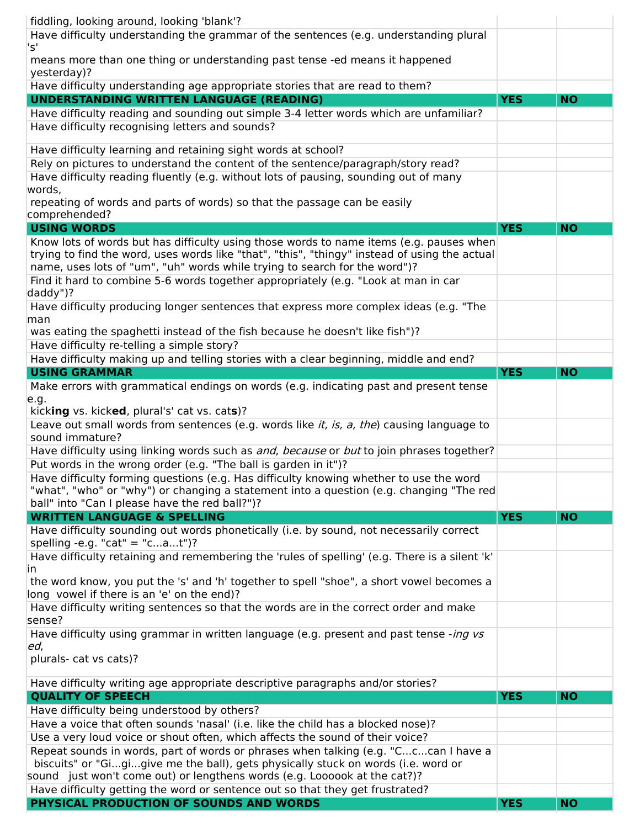| $\mathsf{S}^1$<br>means more than one thing or understanding past tense -ed means it happened<br>yesterday)?<br>Have difficulty understanding age appropriate stories that are read to them?<br><b>UNDERSTANDING WRITTEN LANGUAGE (READING)</b><br><b>YES</b><br><b>NO</b><br>Have difficulty reading and sounding out simple 3-4 letter words which are unfamiliar?<br>Have difficulty recognising letters and sounds?<br>Have difficulty learning and retaining sight words at school?<br>Rely on pictures to understand the content of the sentence/paragraph/story read?<br>Have difficulty reading fluently (e.g. without lots of pausing, sounding out of many<br>words,<br>repeating of words and parts of words) so that the passage can be easily<br>comprehended?<br><b>USING WORDS</b><br><b>YES</b><br><b>NO</b><br>Know lots of words but has difficulty using those words to name items (e.g. pauses when<br>trying to find the word, uses words like "that", "this", "thingy" instead of using the actual<br>name, uses lots of "um", "uh" words while trying to search for the word")?<br>Find it hard to combine 5-6 words together appropriately (e.g. "Look at man in car<br>daddy")?<br>Have difficulty producing longer sentences that express more complex ideas (e.g. "The<br>man<br>was eating the spaghetti instead of the fish because he doesn't like fish")?<br>Have difficulty re-telling a simple story?<br>Have difficulty making up and telling stories with a clear beginning, middle and end?<br><b>USING GRAMMAR</b><br><b>YES</b><br><b>NO</b><br>Make errors with grammatical endings on words (e.g. indicating past and present tense<br>e.g.<br>kicking vs. kicked, plural's' cat vs. cats)? | fiddling, looking around, looking 'blank'?<br>Have difficulty understanding the grammar of the sentences (e.g. understanding plural |
|-------------------------------------------------------------------------------------------------------------------------------------------------------------------------------------------------------------------------------------------------------------------------------------------------------------------------------------------------------------------------------------------------------------------------------------------------------------------------------------------------------------------------------------------------------------------------------------------------------------------------------------------------------------------------------------------------------------------------------------------------------------------------------------------------------------------------------------------------------------------------------------------------------------------------------------------------------------------------------------------------------------------------------------------------------------------------------------------------------------------------------------------------------------------------------------------------------------------------------------------------------------------------------------------------------------------------------------------------------------------------------------------------------------------------------------------------------------------------------------------------------------------------------------------------------------------------------------------------------------------------------------------------------------------------------------------------------------------------------------|-------------------------------------------------------------------------------------------------------------------------------------|
|                                                                                                                                                                                                                                                                                                                                                                                                                                                                                                                                                                                                                                                                                                                                                                                                                                                                                                                                                                                                                                                                                                                                                                                                                                                                                                                                                                                                                                                                                                                                                                                                                                                                                                                                     |                                                                                                                                     |
|                                                                                                                                                                                                                                                                                                                                                                                                                                                                                                                                                                                                                                                                                                                                                                                                                                                                                                                                                                                                                                                                                                                                                                                                                                                                                                                                                                                                                                                                                                                                                                                                                                                                                                                                     |                                                                                                                                     |
|                                                                                                                                                                                                                                                                                                                                                                                                                                                                                                                                                                                                                                                                                                                                                                                                                                                                                                                                                                                                                                                                                                                                                                                                                                                                                                                                                                                                                                                                                                                                                                                                                                                                                                                                     |                                                                                                                                     |
|                                                                                                                                                                                                                                                                                                                                                                                                                                                                                                                                                                                                                                                                                                                                                                                                                                                                                                                                                                                                                                                                                                                                                                                                                                                                                                                                                                                                                                                                                                                                                                                                                                                                                                                                     |                                                                                                                                     |
|                                                                                                                                                                                                                                                                                                                                                                                                                                                                                                                                                                                                                                                                                                                                                                                                                                                                                                                                                                                                                                                                                                                                                                                                                                                                                                                                                                                                                                                                                                                                                                                                                                                                                                                                     |                                                                                                                                     |
|                                                                                                                                                                                                                                                                                                                                                                                                                                                                                                                                                                                                                                                                                                                                                                                                                                                                                                                                                                                                                                                                                                                                                                                                                                                                                                                                                                                                                                                                                                                                                                                                                                                                                                                                     |                                                                                                                                     |
|                                                                                                                                                                                                                                                                                                                                                                                                                                                                                                                                                                                                                                                                                                                                                                                                                                                                                                                                                                                                                                                                                                                                                                                                                                                                                                                                                                                                                                                                                                                                                                                                                                                                                                                                     |                                                                                                                                     |
|                                                                                                                                                                                                                                                                                                                                                                                                                                                                                                                                                                                                                                                                                                                                                                                                                                                                                                                                                                                                                                                                                                                                                                                                                                                                                                                                                                                                                                                                                                                                                                                                                                                                                                                                     |                                                                                                                                     |
|                                                                                                                                                                                                                                                                                                                                                                                                                                                                                                                                                                                                                                                                                                                                                                                                                                                                                                                                                                                                                                                                                                                                                                                                                                                                                                                                                                                                                                                                                                                                                                                                                                                                                                                                     |                                                                                                                                     |
|                                                                                                                                                                                                                                                                                                                                                                                                                                                                                                                                                                                                                                                                                                                                                                                                                                                                                                                                                                                                                                                                                                                                                                                                                                                                                                                                                                                                                                                                                                                                                                                                                                                                                                                                     |                                                                                                                                     |
|                                                                                                                                                                                                                                                                                                                                                                                                                                                                                                                                                                                                                                                                                                                                                                                                                                                                                                                                                                                                                                                                                                                                                                                                                                                                                                                                                                                                                                                                                                                                                                                                                                                                                                                                     |                                                                                                                                     |
|                                                                                                                                                                                                                                                                                                                                                                                                                                                                                                                                                                                                                                                                                                                                                                                                                                                                                                                                                                                                                                                                                                                                                                                                                                                                                                                                                                                                                                                                                                                                                                                                                                                                                                                                     |                                                                                                                                     |
|                                                                                                                                                                                                                                                                                                                                                                                                                                                                                                                                                                                                                                                                                                                                                                                                                                                                                                                                                                                                                                                                                                                                                                                                                                                                                                                                                                                                                                                                                                                                                                                                                                                                                                                                     |                                                                                                                                     |
|                                                                                                                                                                                                                                                                                                                                                                                                                                                                                                                                                                                                                                                                                                                                                                                                                                                                                                                                                                                                                                                                                                                                                                                                                                                                                                                                                                                                                                                                                                                                                                                                                                                                                                                                     |                                                                                                                                     |
|                                                                                                                                                                                                                                                                                                                                                                                                                                                                                                                                                                                                                                                                                                                                                                                                                                                                                                                                                                                                                                                                                                                                                                                                                                                                                                                                                                                                                                                                                                                                                                                                                                                                                                                                     |                                                                                                                                     |
|                                                                                                                                                                                                                                                                                                                                                                                                                                                                                                                                                                                                                                                                                                                                                                                                                                                                                                                                                                                                                                                                                                                                                                                                                                                                                                                                                                                                                                                                                                                                                                                                                                                                                                                                     |                                                                                                                                     |
|                                                                                                                                                                                                                                                                                                                                                                                                                                                                                                                                                                                                                                                                                                                                                                                                                                                                                                                                                                                                                                                                                                                                                                                                                                                                                                                                                                                                                                                                                                                                                                                                                                                                                                                                     |                                                                                                                                     |
|                                                                                                                                                                                                                                                                                                                                                                                                                                                                                                                                                                                                                                                                                                                                                                                                                                                                                                                                                                                                                                                                                                                                                                                                                                                                                                                                                                                                                                                                                                                                                                                                                                                                                                                                     |                                                                                                                                     |
|                                                                                                                                                                                                                                                                                                                                                                                                                                                                                                                                                                                                                                                                                                                                                                                                                                                                                                                                                                                                                                                                                                                                                                                                                                                                                                                                                                                                                                                                                                                                                                                                                                                                                                                                     |                                                                                                                                     |
|                                                                                                                                                                                                                                                                                                                                                                                                                                                                                                                                                                                                                                                                                                                                                                                                                                                                                                                                                                                                                                                                                                                                                                                                                                                                                                                                                                                                                                                                                                                                                                                                                                                                                                                                     |                                                                                                                                     |
| sound immature?                                                                                                                                                                                                                                                                                                                                                                                                                                                                                                                                                                                                                                                                                                                                                                                                                                                                                                                                                                                                                                                                                                                                                                                                                                                                                                                                                                                                                                                                                                                                                                                                                                                                                                                     | Leave out small words from sentences (e.g. words like <i>it, is, a, the</i> ) causing language to                                   |
| Have difficulty using linking words such as and, because or but to join phrases together?                                                                                                                                                                                                                                                                                                                                                                                                                                                                                                                                                                                                                                                                                                                                                                                                                                                                                                                                                                                                                                                                                                                                                                                                                                                                                                                                                                                                                                                                                                                                                                                                                                           |                                                                                                                                     |
| Put words in the wrong order (e.g. "The ball is garden in it")?                                                                                                                                                                                                                                                                                                                                                                                                                                                                                                                                                                                                                                                                                                                                                                                                                                                                                                                                                                                                                                                                                                                                                                                                                                                                                                                                                                                                                                                                                                                                                                                                                                                                     |                                                                                                                                     |
| Have difficulty forming questions (e.g. Has difficulty knowing whether to use the word<br>"what", "who" or "why") or changing a statement into a question (e.g. changing "The red<br>ball" into "Can I please have the red ball?")?                                                                                                                                                                                                                                                                                                                                                                                                                                                                                                                                                                                                                                                                                                                                                                                                                                                                                                                                                                                                                                                                                                                                                                                                                                                                                                                                                                                                                                                                                                 |                                                                                                                                     |
| <b>WRITTEN LANGUAGE &amp; SPELLING</b><br><b>YES</b><br><b>NO</b>                                                                                                                                                                                                                                                                                                                                                                                                                                                                                                                                                                                                                                                                                                                                                                                                                                                                                                                                                                                                                                                                                                                                                                                                                                                                                                                                                                                                                                                                                                                                                                                                                                                                   |                                                                                                                                     |
| Have difficulty sounding out words phonetically (i.e. by sound, not necessarily correct<br>spelling -e.g. "cat" = "cat")?                                                                                                                                                                                                                                                                                                                                                                                                                                                                                                                                                                                                                                                                                                                                                                                                                                                                                                                                                                                                                                                                                                                                                                                                                                                                                                                                                                                                                                                                                                                                                                                                           |                                                                                                                                     |
| Have difficulty retaining and remembering the 'rules of spelling' (e.g. There is a silent 'k'<br>in                                                                                                                                                                                                                                                                                                                                                                                                                                                                                                                                                                                                                                                                                                                                                                                                                                                                                                                                                                                                                                                                                                                                                                                                                                                                                                                                                                                                                                                                                                                                                                                                                                 |                                                                                                                                     |
| the word know, you put the 's' and 'h' together to spell "shoe", a short vowel becomes a<br>long vowel if there is an 'e' on the end)?                                                                                                                                                                                                                                                                                                                                                                                                                                                                                                                                                                                                                                                                                                                                                                                                                                                                                                                                                                                                                                                                                                                                                                                                                                                                                                                                                                                                                                                                                                                                                                                              |                                                                                                                                     |
| Have difficulty writing sentences so that the words are in the correct order and make<br>sense?                                                                                                                                                                                                                                                                                                                                                                                                                                                                                                                                                                                                                                                                                                                                                                                                                                                                                                                                                                                                                                                                                                                                                                                                                                                                                                                                                                                                                                                                                                                                                                                                                                     |                                                                                                                                     |
| Have difficulty using grammar in written language (e.g. present and past tense -ing vs<br>ed,                                                                                                                                                                                                                                                                                                                                                                                                                                                                                                                                                                                                                                                                                                                                                                                                                                                                                                                                                                                                                                                                                                                                                                                                                                                                                                                                                                                                                                                                                                                                                                                                                                       |                                                                                                                                     |
| plurals- cat vs cats)?                                                                                                                                                                                                                                                                                                                                                                                                                                                                                                                                                                                                                                                                                                                                                                                                                                                                                                                                                                                                                                                                                                                                                                                                                                                                                                                                                                                                                                                                                                                                                                                                                                                                                                              |                                                                                                                                     |
| Have difficulty writing age appropriate descriptive paragraphs and/or stories?                                                                                                                                                                                                                                                                                                                                                                                                                                                                                                                                                                                                                                                                                                                                                                                                                                                                                                                                                                                                                                                                                                                                                                                                                                                                                                                                                                                                                                                                                                                                                                                                                                                      |                                                                                                                                     |
| <b>QUALITY OF SPEECH</b><br><b>NO</b><br><b>YES</b>                                                                                                                                                                                                                                                                                                                                                                                                                                                                                                                                                                                                                                                                                                                                                                                                                                                                                                                                                                                                                                                                                                                                                                                                                                                                                                                                                                                                                                                                                                                                                                                                                                                                                 |                                                                                                                                     |
| Have difficulty being understood by others?                                                                                                                                                                                                                                                                                                                                                                                                                                                                                                                                                                                                                                                                                                                                                                                                                                                                                                                                                                                                                                                                                                                                                                                                                                                                                                                                                                                                                                                                                                                                                                                                                                                                                         |                                                                                                                                     |
| Have a voice that often sounds 'nasal' (i.e. like the child has a blocked nose)?                                                                                                                                                                                                                                                                                                                                                                                                                                                                                                                                                                                                                                                                                                                                                                                                                                                                                                                                                                                                                                                                                                                                                                                                                                                                                                                                                                                                                                                                                                                                                                                                                                                    |                                                                                                                                     |
| Use a very loud voice or shout often, which affects the sound of their voice?                                                                                                                                                                                                                                                                                                                                                                                                                                                                                                                                                                                                                                                                                                                                                                                                                                                                                                                                                                                                                                                                                                                                                                                                                                                                                                                                                                                                                                                                                                                                                                                                                                                       |                                                                                                                                     |
| Repeat sounds in words, part of words or phrases when talking (e.g. "Cccan I have a<br>biscuits" or "Gigigive me the ball), gets physically stuck on words (i.e. word or<br>sound just won't come out) or lengthens words (e.g. Loooook at the cat?)?                                                                                                                                                                                                                                                                                                                                                                                                                                                                                                                                                                                                                                                                                                                                                                                                                                                                                                                                                                                                                                                                                                                                                                                                                                                                                                                                                                                                                                                                               |                                                                                                                                     |
| Have difficulty getting the word or sentence out so that they get frustrated?                                                                                                                                                                                                                                                                                                                                                                                                                                                                                                                                                                                                                                                                                                                                                                                                                                                                                                                                                                                                                                                                                                                                                                                                                                                                                                                                                                                                                                                                                                                                                                                                                                                       |                                                                                                                                     |
| PHYSICAL PRODUCTION OF SOUNDS AND WORDS<br><b>YES</b><br><b>NO</b>                                                                                                                                                                                                                                                                                                                                                                                                                                                                                                                                                                                                                                                                                                                                                                                                                                                                                                                                                                                                                                                                                                                                                                                                                                                                                                                                                                                                                                                                                                                                                                                                                                                                  |                                                                                                                                     |